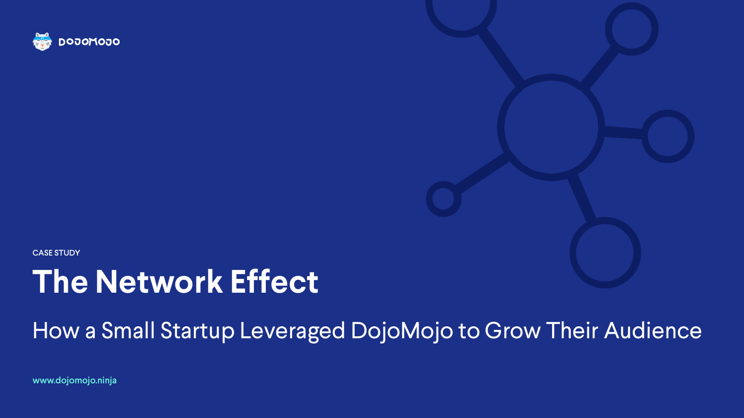## **The Network Effect**

How a Small Startup Leveraged DojoMojo to Grow Their Audience

www.dojomojo.ninja



CASE STUDY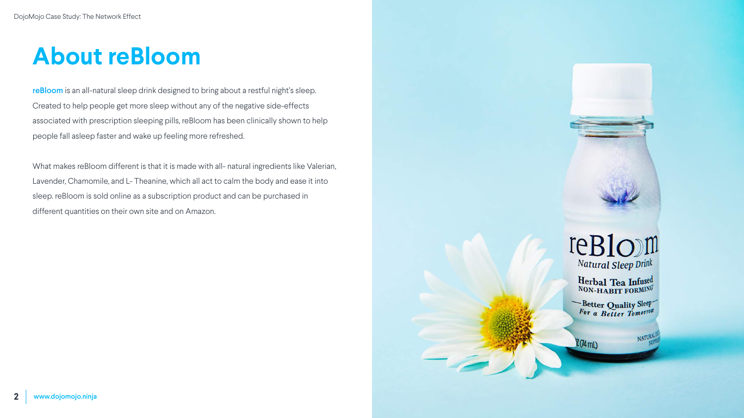## **About reBloom**

reBloom is an all-natural sleep drink designed to bring about a restful night's sleep. Created to help people get more sleep without any of the negative side-effects associated with prescription sleeping pills, reBloom has been clinically shown to help people fall asleep faster and wake up feeling more refreshed.

What makes reBloom different is that it is made with all- natural ingredients like Valerian, Lavender, Chamomile, and L- Theanine, which all act to calm the body and ease it into sleep. reBloom is sold online as a subscription product and can be purchased in different quantities on their own site and on Amazon.



### reBlom Natural Sleep Drink

Herbal Tea Infused<br>NON-HABIT FORMING

Better Quality Sleep

 $2(74$  mL)

NATURAL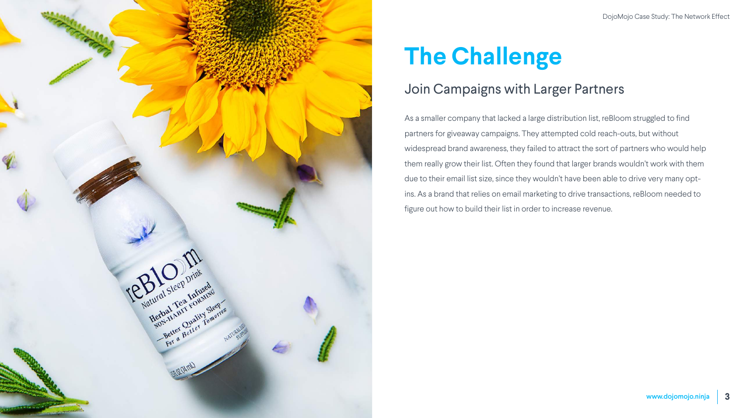

## **The Challenge**

As a smaller company that lacked a large distribution list, reBloom struggled to find partners for giveaway campaigns. They attempted cold reach-outs, but without widespread brand awareness, they failed to attract the sort of partners who would help them really grow their list. Often they found that larger brands wouldn't work with them due to their email list size, since they wouldn't have been able to drive very many optins. As a brand that relies on email marketing to drive transactions, reBloom needed to figure out how to build their list in order to increase revenue.

#### Join Campaigns with Larger Partners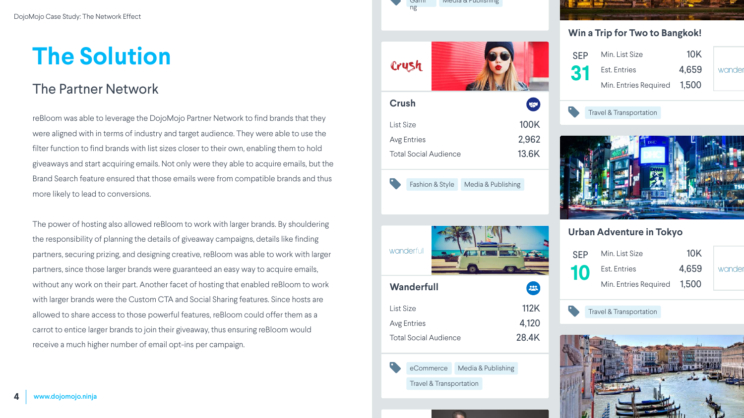## **The Solution**

reBloom was able to leverage the DojoMojo Partner Network to find brands that they were aligned with in terms of industry and target audience. They were able to use the filter function to find brands with list sizes closer to their own, enabling them to hold giveaways and start acquiring emails. Not only were they able to acquire emails, but the Brand Search feature ensured that those emails were from compatible brands and thus more likely to lead to conversions.

The power of hosting also allowed reBloom to work with larger brands. By shouldering the responsibility of planning the details of giveaway campaigns, details like finding partners, securing prizing, and designing creative, reBloom was able to work with larger partners, since those larger brands were guaranteed an easy way to acquire emails, without any work on their part. Another facet of hosting that enabled reBloom to work with larger brands were the Custom CTA and Social Sharing features. Since hosts are allowed to share access to those powerful features, reBloom could offer them as a carrot to entice larger brands to join their giveaway, thus ensuring reBloom would receive a much higher number of email opt-ins per campaign.

#### The Partner Network

Travel & Transportation





| <b>SFP</b> | Min. List Size              | 10K   |      |
|------------|-----------------------------|-------|------|
| 31         | Est. Entries                | 4,659 | wand |
|            | Min. Entries Required 1,500 |       |      |



#### **Win a Trip for Two to Bangkok!**



Travel & Transportation



| <b>SFP</b> | Min. List Size              | 10K   |        |
|------------|-----------------------------|-------|--------|
| 10         | Est. Entries                | 4,659 | wander |
|            | Min. Entries Required 1.500 |       |        |

#### **Urban Adventure in Tokyo**



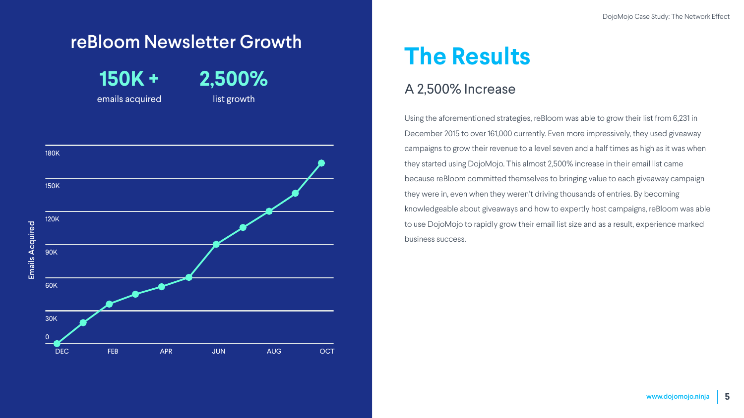## **The Results**

Using the aforementioned strategies, reBloom was able to grow their list from 6,231 in December 2015 to over 161,000 currently. Even more impressively, they used giveaway campaigns to grow their revenue to a level seven and a half times as high as it was when they started using DojoMojo. This almost 2,500% increase in their email list came because reBloom committed themselves to bringing value to each giveaway campaign they were in, even when they weren't driving thousands of entries. By becoming knowledgeable about giveaways and how to expertly host campaigns, reBloom was able to use DojoMojo to rapidly grow their email list size and as a result, experience marked business success.